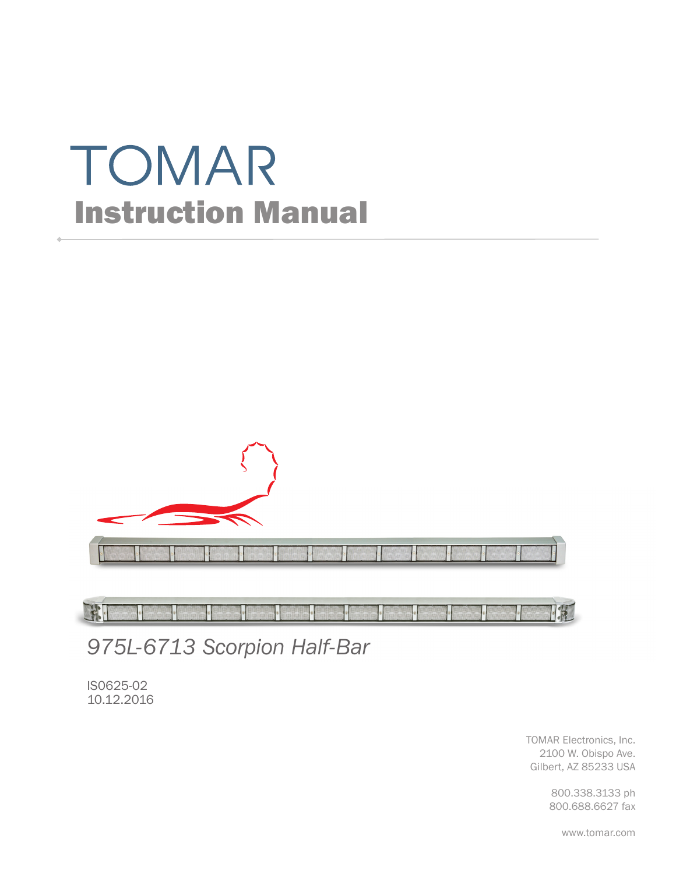# TOMAR Instruction Manual



FFI **TAT** 

*975L-6713 Scorpion Half-Bar*

IS0625-02 10.12.2016

> TOMAR Electronics, Inc. 2100 W. Obispo Ave. Gilbert, AZ 85233 USA

> > 800.338.3133 ph 800.688.6627 fax

> > > www.tomar.com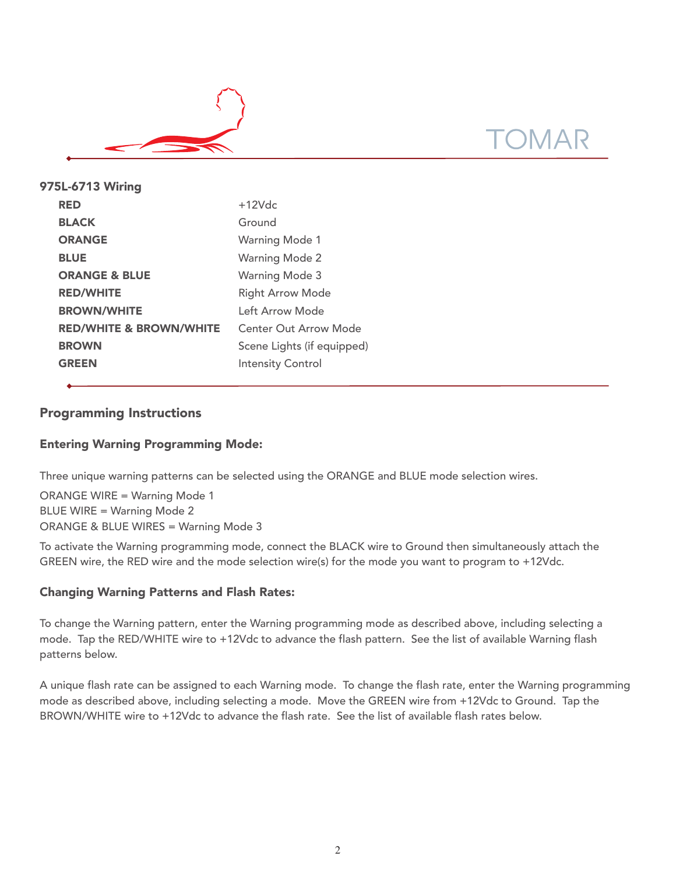

| 975L-6713 Wiring                   |                            |
|------------------------------------|----------------------------|
| <b>RED</b>                         | $+12Vdc$                   |
| <b>BLACK</b>                       | Ground                     |
| <b>ORANGE</b>                      | <b>Warning Mode 1</b>      |
| <b>BLUE</b>                        | <b>Warning Mode 2</b>      |
| <b>ORANGE &amp; BLUE</b>           | <b>Warning Mode 3</b>      |
| <b>RED/WHITE</b>                   | <b>Right Arrow Mode</b>    |
| <b>BROWN/WHITE</b>                 | Left Arrow Mode            |
| <b>RED/WHITE &amp; BROWN/WHITE</b> | Center Out Arrow Mode      |
| <b>BROWN</b>                       | Scene Lights (if equipped) |
| <b>GREEN</b>                       | <b>Intensity Control</b>   |
|                                    |                            |

# Programming Instructions

# Entering Warning Programming Mode:

Three unique warning patterns can be selected using the ORANGE and BLUE mode selection wires.

ORANGE WIRE = Warning Mode 1 BLUE WIRE = Warning Mode 2 ORANGE & BLUE WIRES = Warning Mode 3

To activate the Warning programming mode, connect the BLACK wire to Ground then simultaneously attach the GREEN wire, the RED wire and the mode selection wire(s) for the mode you want to program to +12Vdc.

### Changing Warning Patterns and Flash Rates:

To change the Warning pattern, enter the Warning programming mode as described above, including selecting a mode. Tap the RED/WHITE wire to +12Vdc to advance the flash pattern. See the list of available Warning flash patterns below.

A unique flash rate can be assigned to each Warning mode. To change the flash rate, enter the Warning programming mode as described above, including selecting a mode. Move the GREEN wire from +12Vdc to Ground. Tap the BROWN/WHITE wire to +12Vdc to advance the flash rate. See the list of available flash rates below.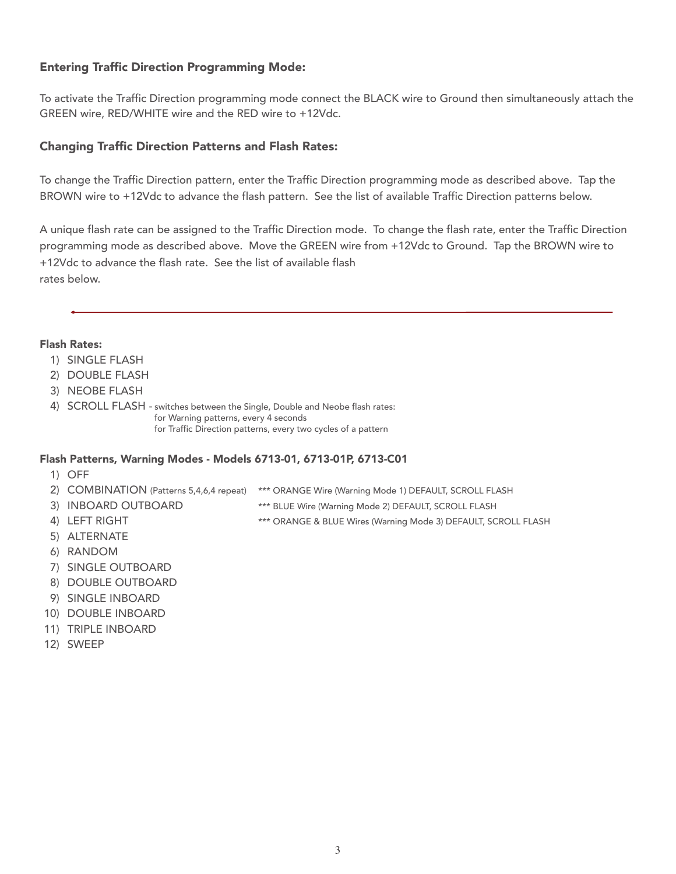# Entering Traffic Direction Programming Mode:

To activate the Traffic Direction programming mode connect the BLACK wire to Ground then simultaneously attach the GREEN wire, RED/WHITE wire and the RED wire to +12Vdc.

## Changing Traffic Direction Patterns and Flash Rates:

To change the Traffic Direction pattern, enter the Traffic Direction programming mode as described above. Tap the BROWN wire to +12Vdc to advance the flash pattern. See the list of available Traffic Direction patterns below.

A unique flash rate can be assigned to the Traffic Direction mode. To change the flash rate, enter the Traffic Direction programming mode as described above. Move the GREEN wire from +12Vdc to Ground. Tap the BROWN wire to +12Vdc to advance the flash rate. See the list of available flash rates below.

#### Flash Rates:

- 1) SINGLE FLASH
- 2) DOUBLE FLASH
- 3) NEOBE FLASH
- 4) SCROLL FLASH switches between the Single, Double and Neobe flash rates: for Warning patterns, every 4 seconds for Traffic Direction patterns, every two cycles of a pattern

### Flash Patterns, Warning Modes - Models 6713-01, 6713-01P, 6713-C01

- 1) OFF
- 
- 2) COMBINATION (Patterns 5,4,6,4 repeat) \*\*\* ORANGE Wire (Warning Mode 1) DEFAULT, SCROLL FLASH
- 3) INBOARD OUTBOARD \*\*\* BLUE Wire (Warning Mode 2) DEFAULT, SCROLL FLASH
- 4) LEFT RIGHT **All Accords** \*\*\* ORANGE & BLUE Wires (Warning Mode 3) DEFAULT, SCROLL FLASH
- 5) ALTERNATE
- 6) RANDOM
- 7) SINGLE OUTBOARD
- 8) DOUBLE OUTBOARD
- 9) SINGLE INBOARD
- 10) DOUBLE INBOARD
- 11) TRIPLE INBOARD
- 12) SWEEP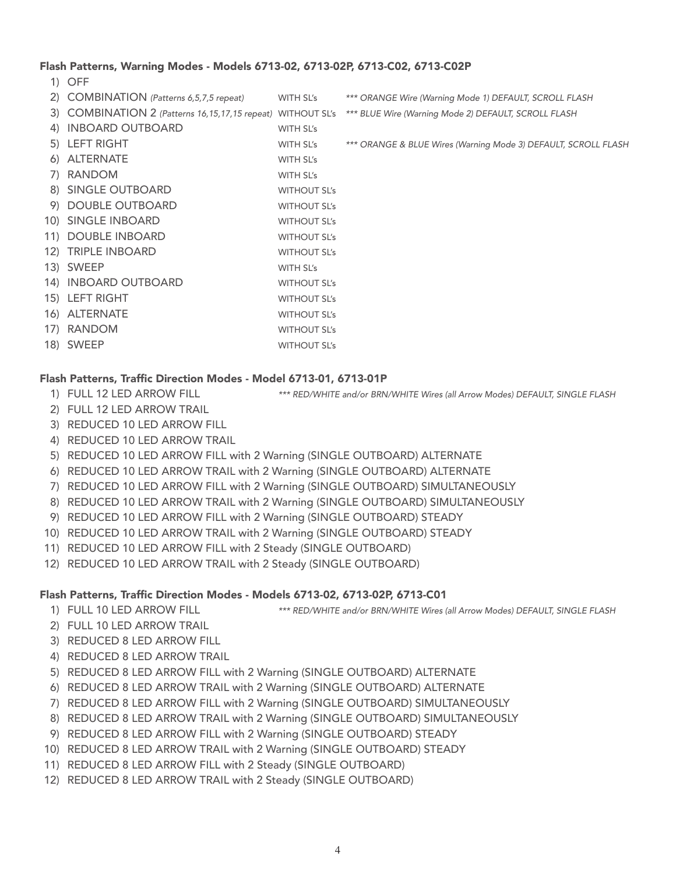#### Flash Patterns, Warning Modes - Models 6713-02, 6713-02P, 6713-C02, 6713-C02P

1) OFF

| 2) COMBINATION (Patterns 6,5,7,5 repeat)                    | WITH SL's           | *** ORANGE Wire (Warning Mode 1) DEFAULT, SCROLL FLASH         |
|-------------------------------------------------------------|---------------------|----------------------------------------------------------------|
| 3) COMBINATION 2 (Patterns 16,15,17,15 repeat) WITHOUT SL's |                     | *** BLUE Wire (Warning Mode 2) DEFAULT, SCROLL FLASH           |
| 4) INBOARD OUTBOARD                                         | WITH SL's           |                                                                |
| 5) LEFT RIGHT                                               | WITH SL's           | *** ORANGE & BLUE Wires (Warning Mode 3) DEFAULT, SCROLL FLASH |
| 6) ALTERNATE                                                | WITH SL's           |                                                                |
| 7) RANDOM                                                   | WITH SL's           |                                                                |
| 8) SINGLE OUTBOARD                                          | <b>WITHOUT SL's</b> |                                                                |
| 9) DOUBLE OUTBOARD                                          | <b>WITHOUT SL's</b> |                                                                |
| 10) SINGLE INBOARD                                          | <b>WITHOUT SL's</b> |                                                                |
| 11) DOUBLE INBOARD                                          | <b>WITHOUT SL's</b> |                                                                |
| 12) TRIPLE INBOARD                                          | <b>WITHOUT SL's</b> |                                                                |
| 13) SWEEP                                                   | WITH SL's           |                                                                |
| 14) INBOARD OUTBOARD                                        | <b>WITHOUT SL's</b> |                                                                |
| 15) LEFT RIGHT                                              | <b>WITHOUT SL's</b> |                                                                |
| 16) ALTERNATE                                               | <b>WITHOUT SL's</b> |                                                                |
| 17) RANDOM                                                  | <b>WITHOUT SL's</b> |                                                                |
| 18) SWEEP                                                   | <b>WITHOUT SL's</b> |                                                                |

#### Flash Patterns, Traffic Direction Modes - Model 6713-01, 6713-01P

- 
- 1) FULL 12 LED ARROW FILL \*\*\* RED/WHITE and/or BRN/WHITE Wires (all Arrow Modes) DEFAULT, SINGLE FLASH
- 2) FULL 12 LED ARROW TRAIL
- 3) REDUCED 10 LED ARROW FILL
- 4) REDUCED 10 LED ARROW TRAIL
- 5) REDUCED 10 LED ARROW FILL with 2 Warning (SINGLE OUTBOARD) ALTERNATE
- 6) REDUCED 10 LED ARROW TRAIL with 2 Warning (SINGLE OUTBOARD) ALTERNATE
- 7) REDUCED 10 LED ARROW FILL with 2 Warning (SINGLE OUTBOARD) SIMULTANEOUSLY
- 8) REDUCED 10 LED ARROW TRAIL with 2 Warning (SINGLE OUTBOARD) SIMULTANEOUSLY
- 9) REDUCED 10 LED ARROW FILL with 2 Warning (SINGLE OUTBOARD) STEADY
- 10) REDUCED 10 LED ARROW TRAIL with 2 Warning (SINGLE OUTBOARD) STEADY
- 11) REDUCED 10 LED ARROW FILL with 2 Steady (SINGLE OUTBOARD)
- 12) REDUCED 10 LED ARROW TRAIL with 2 Steady (SINGLE OUTBOARD)

#### Flash Patterns, Traffic Direction Modes - Models 6713-02, 6713-02P, 6713-C01

- 1) FULL 10 LED ARROW FILL \*\*\* RED/WHITE and/or BRN/WHITE Wires (all Arrow Modes) DEFAULT, SINGLE FLASH
- 2) FULL 10 LED ARROW TRAIL
- 3) REDUCED 8 LED ARROW FILL
- 4) REDUCED 8 LED ARROW TRAIL
- 5) REDUCED 8 LED ARROW FILL with 2 Warning (SINGLE OUTBOARD) ALTERNATE
- 6) REDUCED 8 LED ARROW TRAIL with 2 Warning (SINGLE OUTBOARD) ALTERNATE
- 7) REDUCED 8 LED ARROW FILL with 2 Warning (SINGLE OUTBOARD) SIMULTANEOUSLY
- 8) REDUCED 8 LED ARROW TRAIL with 2 Warning (SINGLE OUTBOARD) SIMULTANEOUSLY
- 9) REDUCED 8 LED ARROW FILL with 2 Warning (SINGLE OUTBOARD) STEADY
- 10) REDUCED 8 LED ARROW TRAIL with 2 Warning (SINGLE OUTBOARD) STEADY
- 11) REDUCED 8 LED ARROW FILL with 2 Steady (SINGLE OUTBOARD)
- 12) REDUCED 8 LED ARROW TRAIL with 2 Steady (SINGLE OUTBOARD)